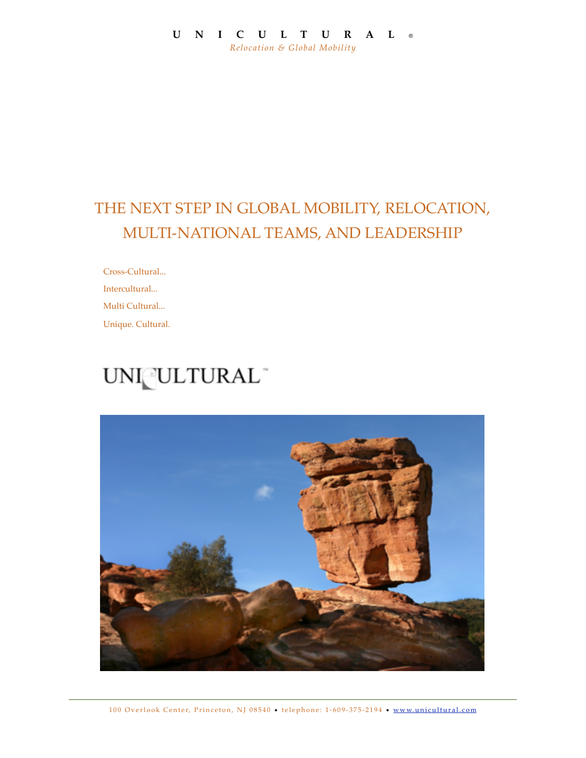### **UNICULTURAL** ® *Relocation & Global Mobility*

# THE NEXT STEP IN GLOBAL MOBILITY, RELOCATION, MULTI-NATIONAL TEAMS, AND LEADERSHIP

Cross-Cultural... Intercultural... Multi Cultural... Unique. Cultural.

# UNI ULTURAL

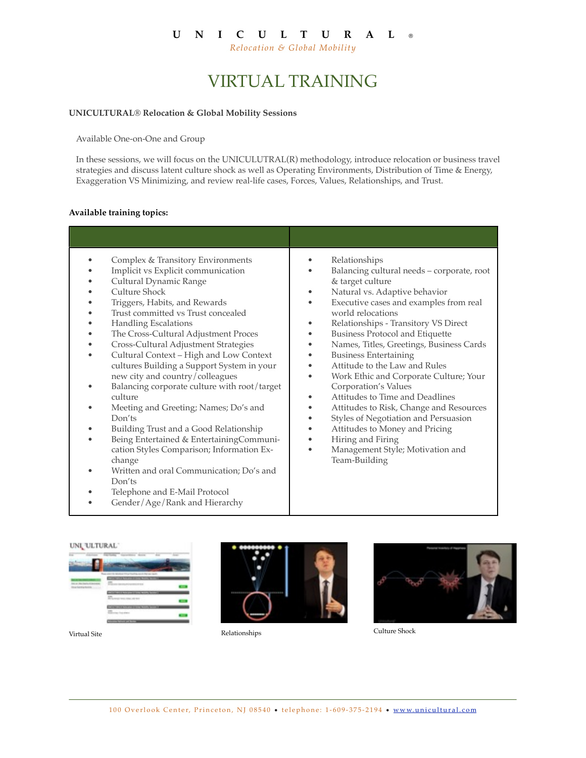### **UNICULTURAL** ®

*Relocation & Global Mobility*

# VIRTUAL TRAINING

#### **UNICULTURAL® Relocation & Global Mobility Sessions**

Available One-on-One and Group

In these sessions, we will focus on the UNICULUTRAL(R) methodology, introduce relocation or business travel strategies and discuss latent culture shock as well as Operating Environments, Distribution of Time & Energy, Exaggeration VS Minimizing, and review real-life cases, Forces, Values, Relationships, and Trust.

#### **Available training topics:**

| Complex & Transitory Environments<br>Implicit vs Explicit communication<br>Cultural Dynamic Range<br>Culture Shock<br>Triggers, Habits, and Rewards<br>Trust committed vs Trust concealed<br><b>Handling Escalations</b><br>The Cross-Cultural Adjustment Proces<br>Cross-Cultural Adjustment Strategies<br>Cultural Context - High and Low Context<br>cultures Building a Support System in your<br>new city and country/colleagues<br>Balancing corporate culture with root/target<br>culture<br>Meeting and Greeting; Names; Do's and<br>Don'ts<br>Building Trust and a Good Relationship<br>Being Entertained & Entertaining Communi-<br>cation Styles Comparison; Information Ex-<br>change<br>Written and oral Communication; Do's and<br>Don'ts<br>Telephone and E-Mail Protocol<br>Gender/Age/Rank and Hierarchy | Relationships<br>Balancing cultural needs - corporate, root<br>& target culture<br>Natural vs. Adaptive behavior<br>Executive cases and examples from real<br>world relocations<br>Relationships - Transitory VS Direct<br><b>Business Protocol and Etiquette</b><br>Names, Titles, Greetings, Business Cards<br><b>Business Entertaining</b><br>Attitude to the Law and Rules<br>Work Ethic and Corporate Culture; Your<br>Corporation's Values<br>Attitudes to Time and Deadlines<br>Attitudes to Risk, Change and Resources<br>Styles of Negotiation and Persuasion<br>Attitudes to Money and Pricing<br>Hiring and Firing<br>Management Style; Motivation and<br>٠<br>Team-Building |
|--------------------------------------------------------------------------------------------------------------------------------------------------------------------------------------------------------------------------------------------------------------------------------------------------------------------------------------------------------------------------------------------------------------------------------------------------------------------------------------------------------------------------------------------------------------------------------------------------------------------------------------------------------------------------------------------------------------------------------------------------------------------------------------------------------------------------|-----------------------------------------------------------------------------------------------------------------------------------------------------------------------------------------------------------------------------------------------------------------------------------------------------------------------------------------------------------------------------------------------------------------------------------------------------------------------------------------------------------------------------------------------------------------------------------------------------------------------------------------------------------------------------------------|

|   | -- |  |
|---|----|--|
|   |    |  |
|   |    |  |
|   |    |  |
|   |    |  |
|   | ≖  |  |
| ÷ |    |  |
|   |    |  |
|   |    |  |